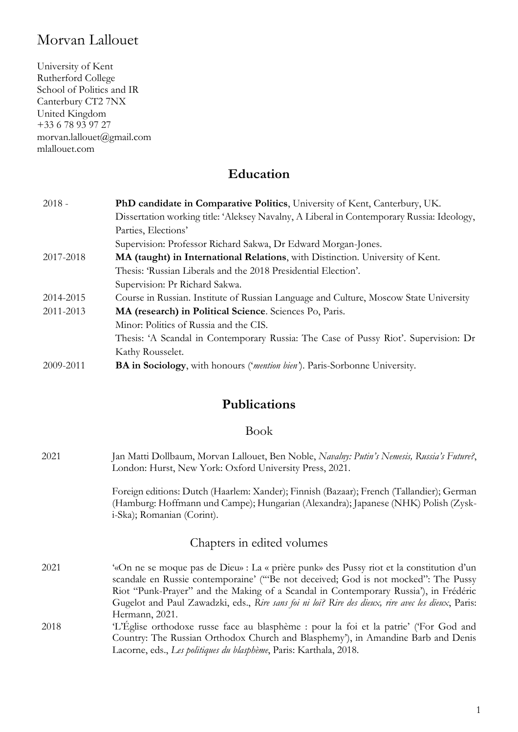# Morvan Lallouet

University of Kent Rutherford College School of Politics and IR Canterbury CT2 7NX United Kingdom +33 6 78 93 97 27 morvan.lallouet@gmail.com mlallouet.com

### **Education**

| $2018 -$  | PhD candidate in Comparative Politics, University of Kent, Canterbury, UK.                |
|-----------|-------------------------------------------------------------------------------------------|
|           | Dissertation working title: 'Aleksey Navalny, A Liberal in Contemporary Russia: Ideology, |
|           | Parties, Elections'                                                                       |
|           | Supervision: Professor Richard Sakwa, Dr Edward Morgan-Jones.                             |
| 2017-2018 | MA (taught) in International Relations, with Distinction. University of Kent.             |
|           | Thesis: 'Russian Liberals and the 2018 Presidential Election'.                            |
|           | Supervision: Pr Richard Sakwa.                                                            |
| 2014-2015 | Course in Russian. Institute of Russian Language and Culture, Moscow State University     |
| 2011-2013 | MA (research) in Political Science. Sciences Po, Paris.                                   |
|           | Minor: Politics of Russia and the CIS.                                                    |
|           | Thesis: 'A Scandal in Contemporary Russia: The Case of Pussy Riot'. Supervision: Dr       |
|           | Kathy Rousselet.                                                                          |
| 2009-2011 | <b>BA in Sociology</b> , with honours ('mention bien'). Paris-Sorbonne University.        |

## **Publications**

### Book

2021 Jan Matti Dollbaum, Morvan Lallouet, Ben Noble, *Navalny: Putin's Nemesis, Russia's Future?*, London: Hurst, New York: Oxford University Press, 2021. Foreign editions: Dutch (Haarlem: Xander); Finnish (Bazaar); French (Tallandier); German (Hamburg: Hoffmann und Campe); Hungarian (Alexandra); Japanese (NHK) Polish (Zyski-Ska); Romanian (Corint). Chapters in edited volumes 2021 '«On ne se moque pas de Dieu» : La « prière punk» des Pussy riot et la constitution d'un scandale en Russie contemporaine' ('"Be not deceived; God is not mocked": The Pussy Riot "Punk-Prayer" and the Making of a Scandal in Contemporary Russia'), in Frédéric Gugelot and Paul Zawadzki, eds., *Rire sans foi ni loi? Rire des dieux, rire avec les dieux*, Paris: Hermann, 2021. 2018 'L'Église orthodoxe russe face au blasphème : pour la foi et la patrie' ('For God and Country: The Russian Orthodox Church and Blasphemy'), in Amandine Barb and Denis Lacorne, eds., *Les politiques du blasphème*, Paris: Karthala, 2018.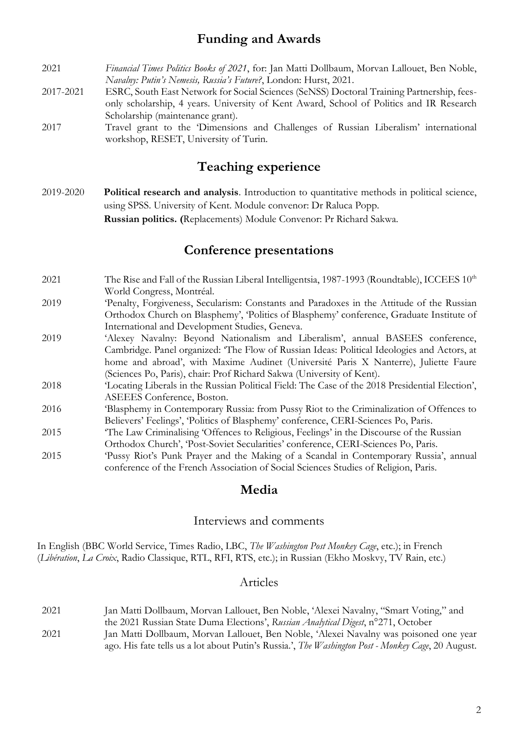### **Funding and Awards**

- 2021 *Financial Times Politics Books of 2021*, for: Jan Matti Dollbaum, Morvan Lallouet, Ben Noble, *Navalny: Putin's Nemesis, Russia's Future?*, London: Hurst, 2021.
- 2017-2021 ESRC, South East Network for Social Sciences (SeNSS) Doctoral Training Partnership, feesonly scholarship, 4 years. University of Kent Award, School of Politics and IR Research Scholarship (maintenance grant).
- 2017 Travel grant to the 'Dimensions and Challenges of Russian Liberalism' international workshop, RESET, University of Turin.

### **Teaching experience**

2019-2020 **Political research and analysis**. Introduction to quantitative methods in political science, using SPSS. University of Kent. Module convenor: Dr Raluca Popp. **Russian politics. (**Replacements) Module Convenor: Pr Richard Sakwa.

### **Conference presentations**

- 2021 The Rise and Fall of the Russian Liberal Intelligentsia, 1987-1993 (Roundtable), ICCEES 10<sup>th</sup> World Congress, Montréal.
- 2019 'Penalty, Forgiveness, Secularism: Constants and Paradoxes in the Attitude of the Russian Orthodox Church on Blasphemy', 'Politics of Blasphemy' conference, Graduate Institute of International and Development Studies, Geneva.
- 2019 'Alexey Navalny: Beyond Nationalism and Liberalism', annual BASEES conference, Cambridge. Panel organized: 'The Flow of Russian Ideas: Political Ideologies and Actors, at home and abroad', with Maxime Audinet (Université Paris X Nanterre), Juliette Faure (Sciences Po, Paris), chair: Prof Richard Sakwa (University of Kent).
- 2018 'Locating Liberals in the Russian Political Field: The Case of the 2018 Presidential Election', ASEEES Conference, Boston.
- 2016 'Blasphemy in Contemporary Russia: from Pussy Riot to the Criminalization of Offences to Believers' Feelings', 'Politics of Blasphemy' conference, CERI-Sciences Po, Paris.
- 2015 'The Law Criminalising 'Offences to Religious, Feelings' in the Discourse of the Russian Orthodox Church', 'Post-Soviet Secularities' conference, CERI-Sciences Po, Paris.
- 2015 'Pussy Riot's Punk Prayer and the Making of a Scandal in Contemporary Russia', annual conference of the French Association of Social Sciences Studies of Religion, Paris.

### **Media**

### Interviews and comments

In English (BBC World Service, Times Radio, LBC, *The Washington Post Monkey Cage*, etc.); in French (*Libération*, *La Croix*, Radio Classique, RTL, RFI, RTS, etc.); in Russian (Ekho Moskvy, TV Rain, etc.)

### Articles

2021 Jan Matti Dollbaum, Morvan Lallouet, Ben Noble, 'Alexei Navalny, "Smart Voting," and the 2021 Russian State Duma Elections', *Russian Analytical Digest*, n°271, October 2021 Jan Matti Dollbaum, Morvan Lallouet, Ben Noble, 'Alexei Navalny was poisoned one year ago. His fate tells us a lot about Putin's Russia.', *The Washington Post - Monkey Cage*, 20 August.